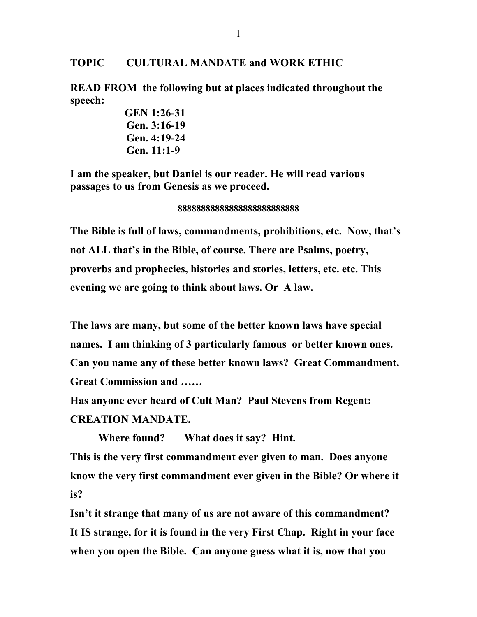## **TOPIC CULTURAL MANDATE and WORK ETHIC**

**READ FROM the following but at places indicated throughout the speech:**

> **GEN 1:26-31 Gen. 3:16-19 Gen. 4:19-24 Gen. 11:1-9**

**I am the speaker, but Daniel is our reader. He will read various passages to us from Genesis as we proceed.** 

**88888888888888888888888888**

**The Bible is full of laws, commandments, prohibitions, etc. Now, that's not ALL that's in the Bible, of course. There are Psalms, poetry, proverbs and prophecies, histories and stories, letters, etc. etc. This evening we are going to think about laws. Or A law.** 

**The laws are many, but some of the better known laws have special names. I am thinking of 3 particularly famous or better known ones. Can you name any of these better known laws? Great Commandment. Great Commission and ……**

**Has anyone ever heard of Cult Man? Paul Stevens from Regent: CREATION MANDATE.**

**Where found? What does it say? Hint. This is the very first commandment ever given to man. Does anyone know the very first commandment ever given in the Bible? Or where it is?**

**Isn't it strange that many of us are not aware of this commandment? It IS strange, for it is found in the very First Chap. Right in your face when you open the Bible. Can anyone guess what it is, now that you**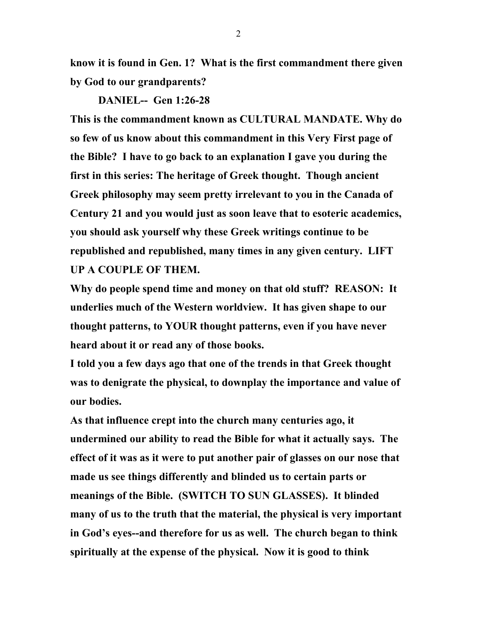**know it is found in Gen. 1? What is the first commandment there given by God to our grandparents?** 

**DANIEL-- Gen 1:26-28**

**This is the commandment known as CULTURAL MANDATE. Why do so few of us know about this commandment in this Very First page of the Bible? I have to go back to an explanation I gave you during the first in this series: The heritage of Greek thought. Though ancient Greek philosophy may seem pretty irrelevant to you in the Canada of Century 21 and you would just as soon leave that to esoteric academics, you should ask yourself why these Greek writings continue to be republished and republished, many times in any given century. LIFT UP A COUPLE OF THEM.** 

**Why do people spend time and money on that old stuff? REASON: It underlies much of the Western worldview. It has given shape to our thought patterns, to YOUR thought patterns, even if you have never heard about it or read any of those books.** 

**I told you a few days ago that one of the trends in that Greek thought was to denigrate the physical, to downplay the importance and value of our bodies.** 

**As that influence crept into the church many centuries ago, it undermined our ability to read the Bible for what it actually says. The effect of it was as it were to put another pair of glasses on our nose that made us see things differently and blinded us to certain parts or meanings of the Bible. (SWITCH TO SUN GLASSES). It blinded many of us to the truth that the material, the physical is very important in God's eyes--and therefore for us as well. The church began to think spiritually at the expense of the physical. Now it is good to think**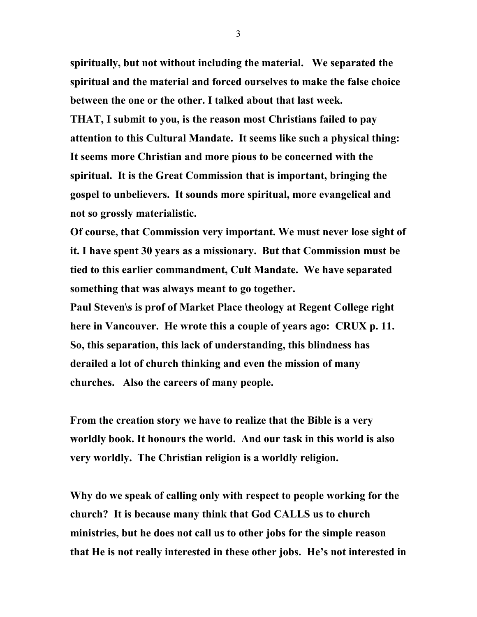**spiritually, but not without including the material. We separated the spiritual and the material and forced ourselves to make the false choice between the one or the other. I talked about that last week. THAT, I submit to you, is the reason most Christians failed to pay attention to this Cultural Mandate. It seems like such a physical thing: It seems more Christian and more pious to be concerned with the spiritual. It is the Great Commission that is important, bringing the gospel to unbelievers. It sounds more spiritual, more evangelical and not so grossly materialistic.**

**Of course, that Commission very important. We must never lose sight of it. I have spent 30 years as a missionary. But that Commission must be tied to this earlier commandment, Cult Mandate. We have separated something that was always meant to go together.**

**Paul Steven\s is prof of Market Place theology at Regent College right here in Vancouver. He wrote this a couple of years ago: CRUX p. 11. So, this separation, this lack of understanding, this blindness has derailed a lot of church thinking and even the mission of many churches. Also the careers of many people.** 

**From the creation story we have to realize that the Bible is a very worldly book. It honours the world. And our task in this world is also very worldly. The Christian religion is a worldly religion.** 

**Why do we speak of calling only with respect to people working for the church? It is because many think that God CALLS us to church ministries, but he does not call us to other jobs for the simple reason that He is not really interested in these other jobs. He's not interested in**

3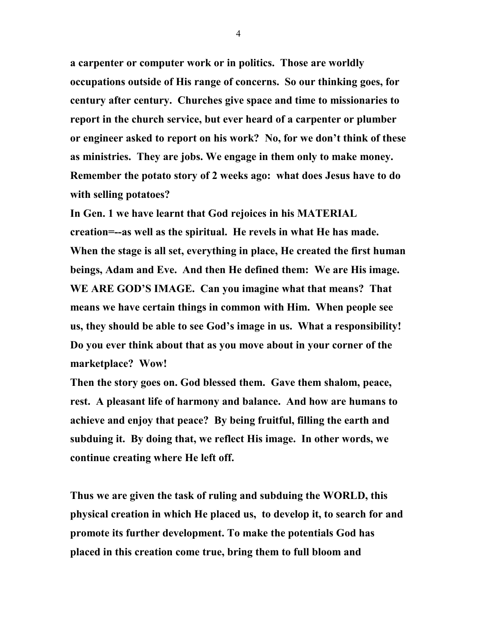**a carpenter or computer work or in politics. Those are worldly occupations outside of His range of concerns. So our thinking goes, for century after century. Churches give space and time to missionaries to report in the church service, but ever heard of a carpenter or plumber or engineer asked to report on his work? No, for we don't think of these as ministries. They are jobs. We engage in them only to make money. Remember the potato story of 2 weeks ago: what does Jesus have to do with selling potatoes?** 

**In Gen. 1 we have learnt that God rejoices in his MATERIAL creation=--as well as the spiritual. He revels in what He has made. When the stage is all set, everything in place, He created the first human beings, Adam and Eve. And then He defined them: We are His image. WE ARE GOD'S IMAGE. Can you imagine what that means? That means we have certain things in common with Him. When people see us, they should be able to see God's image in us. What a responsibility! Do you ever think about that as you move about in your corner of the marketplace? Wow!** 

**Then the story goes on. God blessed them. Gave them shalom, peace, rest. A pleasant life of harmony and balance. And how are humans to achieve and enjoy that peace? By being fruitful, filling the earth and subduing it. By doing that, we reflect His image. In other words, we continue creating where He left off.** 

**Thus we are given the task of ruling and subduing the WORLD, this physical creation in which He placed us, to develop it, to search for and promote its further development. To make the potentials God has placed in this creation come true, bring them to full bloom and** 

4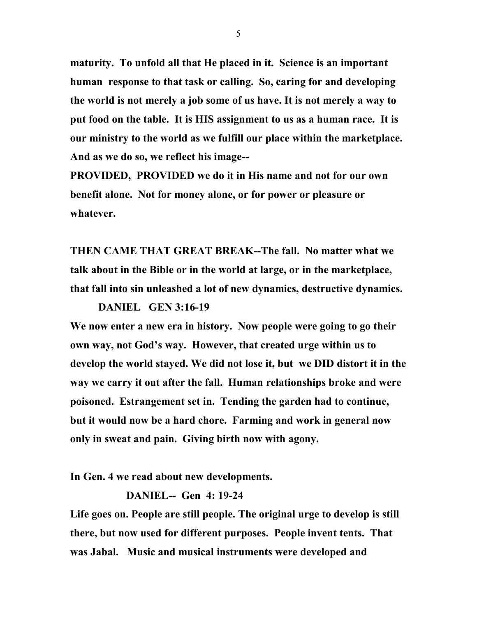**maturity. To unfold all that He placed in it. Science is an important human response to that task or calling. So, caring for and developing the world is not merely a job some of us have. It is not merely a way to put food on the table. It is HIS assignment to us as a human race. It is our ministry to the world as we fulfill our place within the marketplace. And as we do so, we reflect his image--**

**PROVIDED, PROVIDED we do it in His name and not for our own benefit alone. Not for money alone, or for power or pleasure or whatever.**

**THEN CAME THAT GREAT BREAK--The fall. No matter what we talk about in the Bible or in the world at large, or in the marketplace, that fall into sin unleashed a lot of new dynamics, destructive dynamics.** 

**DANIEL GEN 3:16-19 We now enter a new era in history. Now people were going to go their own way, not God's way. However, that created urge within us to develop the world stayed. We did not lose it, but we DID distort it in the way we carry it out after the fall. Human relationships broke and were poisoned. Estrangement set in. Tending the garden had to continue, but it would now be a hard chore. Farming and work in general now only in sweat and pain. Giving birth now with agony.** 

**In Gen. 4 we read about new developments.** 

**DANIEL-- Gen 4: 19-24**

**Life goes on. People are still people. The original urge to develop is still there, but now used for different purposes. People invent tents. That was Jabal. Music and musical instruments were developed and**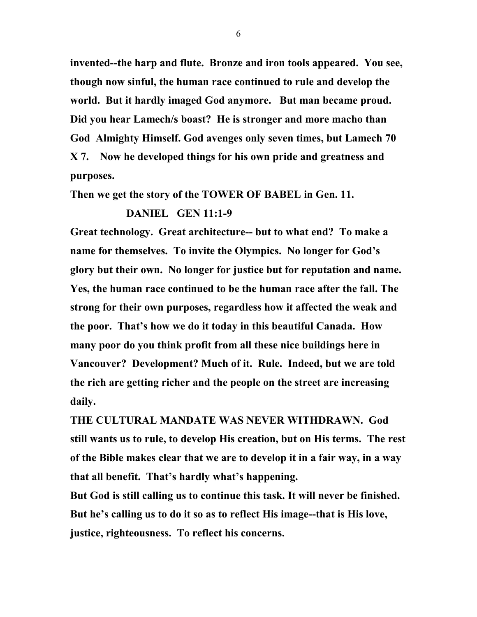**invented--the harp and flute. Bronze and iron tools appeared. You see, though now sinful, the human race continued to rule and develop the world. But it hardly imaged God anymore. But man became proud. Did you hear Lamech/s boast? He is stronger and more macho than God Almighty Himself. God avenges only seven times, but Lamech 70 X 7. Now he developed things for his own pride and greatness and purposes.** 

**Then we get the story of the TOWER OF BABEL in Gen. 11.**

## **DANIEL GEN 11:1-9**

**Great technology. Great architecture-- but to what end? To make a name for themselves. To invite the Olympics. No longer for God's glory but their own. No longer for justice but for reputation and name. Yes, the human race continued to be the human race after the fall. The strong for their own purposes, regardless how it affected the weak and the poor. That's how we do it today in this beautiful Canada. How many poor do you think profit from all these nice buildings here in Vancouver? Development? Much of it. Rule. Indeed, but we are told the rich are getting richer and the people on the street are increasing daily.** 

**THE CULTURAL MANDATE WAS NEVER WITHDRAWN. God still wants us to rule, to develop His creation, but on His terms. The rest of the Bible makes clear that we are to develop it in a fair way, in a way that all benefit. That's hardly what's happening.** 

**But God is still calling us to continue this task. It will never be finished. But he's calling us to do it so as to reflect His image--that is His love, justice, righteousness. To reflect his concerns.** 

6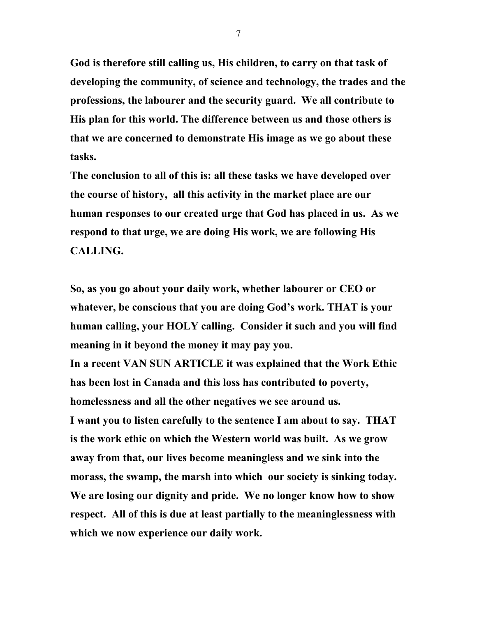**God is therefore still calling us, His children, to carry on that task of developing the community, of science and technology, the trades and the professions, the labourer and the security guard. We all contribute to His plan for this world. The difference between us and those others is that we are concerned to demonstrate His image as we go about these tasks.** 

**The conclusion to all of this is: all these tasks we have developed over the course of history, all this activity in the market place are our human responses to our created urge that God has placed in us. As we respond to that urge, we are doing His work, we are following His CALLING.** 

**So, as you go about your daily work, whether labourer or CEO or whatever, be conscious that you are doing God's work. THAT is your human calling, your HOLY calling. Consider it such and you will find meaning in it beyond the money it may pay you.**

**In a recent VAN SUN ARTICLE it was explained that the Work Ethic has been lost in Canada and this loss has contributed to poverty, homelessness and all the other negatives we see around us. I want you to listen carefully to the sentence I am about to say. THAT is the work ethic on which the Western world was built. As we grow away from that, our lives become meaningless and we sink into the morass, the swamp, the marsh into which our society is sinking today. We are losing our dignity and pride. We no longer know how to show respect. All of this is due at least partially to the meaninglessness with which we now experience our daily work.**